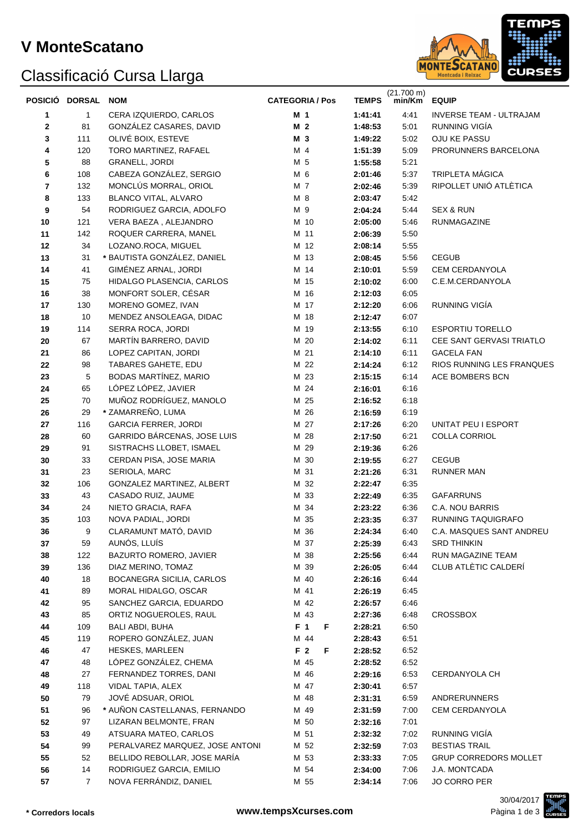### **V MonteScatano**

## Classificació Cursa Llarga



|        | POSICIÓ DORSAL | <b>NOM</b>                                        | <b>CATEGORIA / Pos</b> | <b>TEMPS</b> | $(21.700 \text{ m})$<br>min/Km | <b>EQUIP</b>                    |
|--------|----------------|---------------------------------------------------|------------------------|--------------|--------------------------------|---------------------------------|
|        | 1              | CERA IZQUIERDO, CARLOS                            | M <sub>1</sub>         | 1:41:41      | 4:41                           | <b>INVERSE TEAM - ULTRAJAM</b>  |
| 1<br>2 | 81             | GONZÁLEZ CASARES, DAVID                           | M <sub>2</sub>         | 1:48:53      | 5:01                           | RUNNING VIGIA                   |
| 3      | 111            | OLIVÉ BOIX, ESTEVE                                | M 3                    | 1:49:22      | 5:02                           | OJU KE PASSU                    |
| 4      | 120            | TORO MARTINEZ, RAFAEL                             | M 4                    | 1:51:39      | 5:09                           | PRORUNNERS BARCELONA            |
| 5      | 88             | <b>GRANELL, JORDI</b>                             | M 5                    | 1:55:58      | 5:21                           |                                 |
|        | 108            | CABEZA GONZÁLEZ, SERGIO                           | M 6                    |              | 5:37                           | <b>TRIPLETA MÁGICA</b>          |
| 6<br>7 | 132            | MONCLÚS MORRAL, ORIOL                             | M 7                    | 2:01:46      | 5:39                           | RIPOLLET UNIÓ ATLÈTICA          |
|        |                | <b>BLANCO VITAL, ALVARO</b>                       |                        | 2:02:46      |                                |                                 |
| 8      | 133            |                                                   | M 8                    | 2:03:47      | 5:42                           |                                 |
| 9      | 54             | RODRIGUEZ GARCIA, ADOLFO<br>VERA BAEZA, ALEJANDRO | M 9                    | 2:04:24      | 5:44                           | SEX & RUN<br><b>RUNMAGAZINE</b> |
| 10     | 121            |                                                   | M 10                   | 2:05:00      | 5:46                           |                                 |
| 11     | 142            | ROQUER CARRERA, MANEL                             | M 11                   | 2:06:39      | 5:50                           |                                 |
| 12     | 34             | LOZANO.ROCA, MIGUEL                               | M 12                   | 2:08:14      | 5:55                           |                                 |
| 13     | 31             | * BAUTISTA GONZÁLEZ, DANIEL                       | M 13                   | 2:08:45      | 5:56                           | <b>CEGUB</b>                    |
| 14     | 41             | GIMÉNEZ ARNAL, JORDI                              | M 14                   | 2:10:01      | 5:59                           | <b>CEM CERDANYOLA</b>           |
| 15     | 75             | HIDALGO PLASENCIA, CARLOS                         | M 15                   | 2:10:02      | 6:00                           | C.E.M.CERDANYOLA                |
| 16     | 38             | MONFORT SOLER, CÉSAR                              | M 16                   | 2:12:03      | 6:05                           |                                 |
| 17     | 130            | MORENO GOMEZ, IVAN                                | M 17                   | 2:12:20      | 6:06                           | RUNNING VIGÍA                   |
| 18     | 10             | MENDEZ ANSOLEAGA, DIDAC                           | M 18                   | 2:12:47      | 6:07                           |                                 |
| 19     | 114            | SERRA ROCA, JORDI                                 | M 19                   | 2:13:55      | 6:10                           | <b>ESPORTIU TORELLO</b>         |
| 20     | 67             | MARTÍN BARRERO, DAVID                             | M 20                   | 2:14:02      | 6:11                           | CEE SANT GERVASI TRIATLO        |
| 21     | 86             | LOPEZ CAPITAN, JORDI                              | M 21                   | 2:14:10      | 6:11                           | <b>GACELA FAN</b>               |
| 22     | 98             | TABARES GAHETE, EDU                               | M 22                   | 2:14:24      | 6:12                           | RIOS RUNNING LES FRANQUES       |
| 23     | 5              | BODAS MARTÍNEZ, MARIO                             | M 23                   | 2:15:15      | 6:14                           | ACE BOMBERS BCN                 |
| 24     | 65             | LÓPEZ LÓPEZ, JAVIER                               | M 24                   | 2:16:01      | 6:16                           |                                 |
| 25     | 70             | MUÑOZ RODRÍGUEZ, MANOLO                           | M 25                   | 2:16:52      | 6:18                           |                                 |
| 26     | 29             | * ZAMARREÑO, LUMA                                 | M 26                   | 2:16:59      | 6:19                           |                                 |
| 27     | 116            | <b>GARCIA FERRER, JORDI</b>                       | M 27                   | 2:17:26      | 6:20                           | UNITAT PEU I ESPORT             |
| 28     | 60             | GARRIDO BÁRCENAS, JOSE LUIS                       | M 28                   | 2:17:50      | 6:21                           | COLLA CORRIOL                   |
| 29     | 91             | SISTRACHS LLOBET, ISMAEL                          | M 29                   | 2:19:36      | 6:26                           |                                 |
| 30     | 33             | CERDAN PISA, JOSE MARIA                           | M 30                   | 2:19:55      | 6:27                           | <b>CEGUB</b>                    |
| 31     | 23             | SERIOLA, MARC                                     | M 31                   | 2:21:26      | 6:31                           | RUNNER MAN                      |
| 32     | 106            | GONZALEZ MARTINEZ, ALBERT                         | M 32                   | 2:22:47      | 6:35                           |                                 |
| 33     | 43             | CASADO RUIZ, JAUME                                | M 33                   | 2:22:49      | 6:35                           | <b>GAFARRUNS</b>                |
| 34     | 24             | NIETO GRACIA, RAFA                                | M 34                   | 2:23:22      | 6:36                           | C.A. NOU BARRIS                 |
| 35     | 103            | NOVA PADIAL, JORDI                                | M 35                   | 2:23:35      | 6:37                           | RUNNING TAQUIGRAFO              |
| 36     | 9              | CLARAMUNT MATÓ, DAVID                             | M 36                   | 2:24:34      | 6:40                           | C.A. MASQUES SANT ANDREU        |
| 37     | 59             | AUNÓS, LLUÍS                                      | M 37                   | 2:25:39      | 6:43                           | <b>SRD THINKIN</b>              |
| 38     | 122            | BAZURTO ROMERO, JAVIER                            | M 38                   | 2:25:56      | 6:44                           | RUN MAGAZINE TEAM               |
| 39     | 136            | DIAZ MERINO, TOMAZ                                | M 39                   | 2:26:05      | 6:44                           | CLUB ATLÈTIC CALDERÍ            |
| 40     | 18             | <b>BOCANEGRA SICILIA, CARLOS</b>                  | M 40                   | 2:26:16      | 6:44                           |                                 |
| 41     | 89             | MORAL HIDALGO, OSCAR                              | M 41                   | 2:26:19      | 6:45                           |                                 |
| 42     | 95             | SANCHEZ GARCIA, EDUARDO                           | M 42                   | 2:26:57      | 6:46                           |                                 |
| 43     | 85             | ORTIZ NOGUEROLES, RAUL                            | M 43                   | 2:27:36      | 6:48                           | <b>CROSSBOX</b>                 |
| 44     | 109            | BALI ABDI, BUHA                                   | F 1<br>F               | 2:28:21      | 6:50                           |                                 |
| 45     | 119            | ROPERO GONZÁLEZ, JUAN                             | M 44                   | 2:28:43      | 6:51                           |                                 |
| 46     | 47             | <b>HESKES, MARLEEN</b>                            | F 2<br>F               | 2:28:52      | 6:52                           |                                 |
| 47     | 48             | LÓPEZ GONZÁLEZ, CHEMA                             | M 45                   | 2:28:52      | 6:52                           |                                 |
| 48     | 27             | FERNANDEZ TORRES, DANI                            | M 46                   | 2:29:16      | 6:53                           | CERDANYOLA CH                   |
| 49     | 118            | VIDAL TAPIA, ALEX                                 | M 47                   | 2:30:41      | 6:57                           |                                 |
| 50     | 79             | JOVÉ ADSUAR, ORIOL                                | M 48                   | 2:31:31      | 6:59                           | <b>ANDRERUNNERS</b>             |
| 51     | 96             | * AUÑON CASTELLANAS, FERNANDO                     | M 49                   | 2:31:59      | 7:00                           | CEM CERDANYOLA                  |
| 52     | 97             | LIZARAN BELMONTE, FRAN                            | M 50                   | 2:32:16      | 7:01                           |                                 |
| 53     | 49             | ATSUARA MATEO, CARLOS                             | M 51                   | 2:32:32      | 7:02                           | RUNNING VIGÍA                   |
| 54     | 99             | PERALVAREZ MARQUEZ, JOSE ANTONI                   | M 52                   | 2:32:59      | 7:03                           | <b>BESTIAS TRAIL</b>            |
| 55     | 52             | BELLIDO REBOLLAR, JOSE MARÍA                      | M 53                   | 2:33:33      | 7:05                           | <b>GRUP CORREDORS MOLLET</b>    |
| 56     | 14             | RODRIGUEZ GARCIA, EMILIO                          | M 54                   | 2:34:00      | 7:06                           | J.A. MONTCADA                   |
| 57     | $\overline{7}$ | NOVA FERRÁNDIZ, DANIEL                            | M 55                   | 2:34:14      | 7:06                           | JO CORRO PER                    |

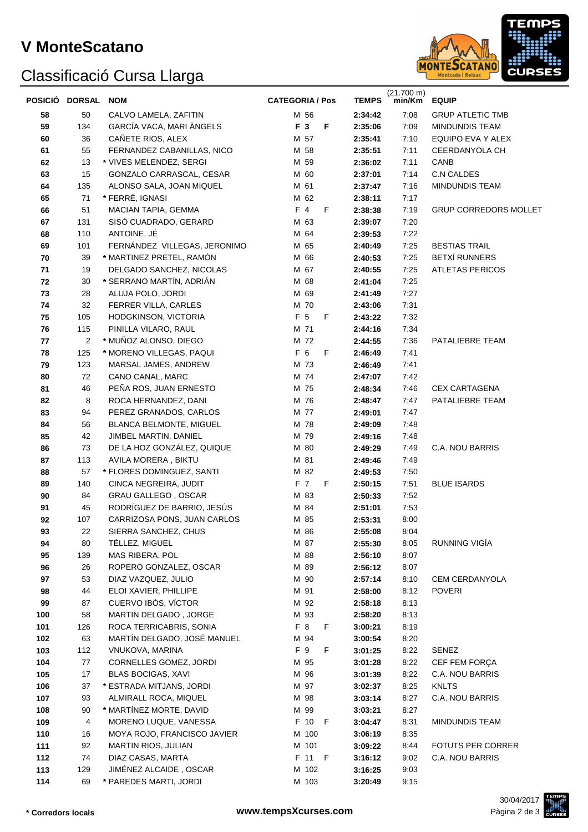# Classificació Cursa Llarga



|     | POSICIÓ DORSAL | <b>NOM</b>                   | <b>CATEGORIA / Pos</b> |   | <b>TEMPS</b> | $(21.700 \text{ m})$<br>min/Km | <b>EQUIP</b>                 |
|-----|----------------|------------------------------|------------------------|---|--------------|--------------------------------|------------------------------|
| 58  | 50             | CALVO LAMELA, ZAFITIN        | M 56                   |   | 2:34:42      | 7:08                           | <b>GRUP ATLETIC TMB</b>      |
| 59  | 134            | GARCÍA VACA, MARI ÀNGELS     | F 3                    | F | 2:35:06      | 7:09                           | MINDUNDIS TEAM               |
| 60  | 36             | CAÑETE RIOS, ALEX            | M 57                   |   | 2:35:41      | 7:10                           | EQUIPO EVA Y ALEX            |
| 61  | 55             | FERNANDEZ CABANILLAS, NICO   | M 58                   |   | 2:35:51      | 7:11                           | CEERDANYOLA CH               |
| 62  | 13             | * VIVES MELENDEZ, SERGI      | M 59                   |   | 2:36:02      | 7:11                           | CANB                         |
| 63  | 15             | GONZALO CARRASCAL, CESAR     | M 60                   |   | 2:37:01      | 7:14                           | C.N CALDES                   |
| 64  | 135            | ALONSO SALA, JOAN MIQUEL     | M 61                   |   | 2:37:47      | 7:16                           | MINDUNDIS TEAM               |
| 65  | 71             | * FERRÉ, IGNASI              | M 62                   |   | 2:38:11      | 7:17                           |                              |
| 66  | 51             | MACIAN TAPIA, GEMMA          | $F$ 4                  | F | 2:38:38      | 7:19                           | <b>GRUP CORREDORS MOLLET</b> |
| 67  | 131            | SISÓ CUADRADO, GERARD        | M 63                   |   | 2:39:07      | 7:20                           |                              |
| 68  | 110            | ANTOINE, JÉ                  | M 64                   |   | 2:39:53      | 7:22                           |                              |
| 69  | 101            | FERNÁNDEZ VILLEGAS, JERONIMO | M 65                   |   | 2:40:49      | 7:25                           | <b>BESTIAS TRAIL</b>         |
| 70  | 39             | * MARTINEZ PRETEL, RAMÓN     | M 66                   |   | 2:40:53      | 7:25                           | <b>BETXÍ RUNNERS</b>         |
| 71  | 19             | DELGADO SANCHEZ, NICOLAS     | M 67                   |   | 2:40:55      | 7:25                           | <b>ATLETAS PERICOS</b>       |
| 72  | 30             | * SERRANO MARTÍN, ADRIÁN     | M 68                   |   | 2:41:04      | 7:25                           |                              |
| 73  | 28             | ALUJA POLO, JORDI            | M 69                   |   | 2:41:49      | 7:27                           |                              |
| 74  | 32             | FERRER VILLA, CARLES         | M 70                   |   | 2:43:06      | 7:31                           |                              |
| 75  | 105            | HODGKINSON, VICTORIA         | F 5                    | F | 2:43:22      | 7:32                           |                              |
| 76  | 115            | PINILLA VILARO, RAUL         | M 71                   |   | 2:44:16      | 7:34                           |                              |
| 77  | 2              | * MUÑOZ ALONSO, DIEGO        | M 72                   |   | 2:44:55      | 7:36                           | PATALIEBRE TEAM              |
| 78  | 125            | * MORENO VILLEGAS, PAQUI     | F 6                    | F | 2:46:49      | 7:41                           |                              |
| 79  | 123            | MARSAL JAMES, ANDREW         | M 73                   |   | 2:46:49      | 7:41                           |                              |
| 80  | 72             | CANO CANAL, MARC             | M 74                   |   | 2:47:07      | 7:42                           |                              |
| 81  | 46             | PEÑA ROS, JUAN ERNESTO       | M 75                   |   | 2:48:34      | 7:46                           | <b>CEX CARTAGENA</b>         |
| 82  | 8              | ROCA HERNANDEZ, DANI         | M 76                   |   | 2:48:47      | 7:47                           | PATALIEBRE TEAM              |
| 83  | 94             | PEREZ GRANADOS, CARLOS       | M 77                   |   | 2:49:01      | 7:47                           |                              |
| 84  | 56             | BLANCA BELMONTE, MIGUEL      | M 78                   |   | 2:49:09      | 7:48                           |                              |
| 85  | 42             | JIMBEL MARTIN, DANIEL        | M 79                   |   | 2:49:16      | 7:48                           |                              |
| 86  | 73             | DE LA HOZ GONZÁLEZ, QUIQUE   | M 80                   |   | 2:49:29      | 7:49                           | C.A. NOU BARRIS              |
| 87  | 113            | AVILA MORERA, BIKTU          | M 81                   |   | 2:49:46      | 7:49                           |                              |
| 88  | 57             | * FLORES DOMINGUEZ, SANTI    | M 82                   |   | 2:49:53      | 7:50                           |                              |
| 89  | 140            | CINCA NEGREIRA, JUDIT        | F 7                    | F | 2:50:15      | 7:51                           | <b>BLUE ISARDS</b>           |
| 90  | 84             | <b>GRAU GALLEGO, OSCAR</b>   | M 83                   |   | 2:50:33      | 7:52                           |                              |
| 91  | 45             | RODRÍGUEZ DE BARRIO, JESÚS   | M 84                   |   | 2:51:01      | 7:53                           |                              |
| 92  | 107            | CARRIZOSA PONS, JUAN CARLOS  | M 85                   |   | 2:53:31      | 8:00                           |                              |
| 93  | 22             | SIERRA SANCHEZ, CHUS         | M 86                   |   | 2:55:08      | 8:04                           |                              |
| 94  | 80             | TELLEZ, MIGUEL               | M 87                   |   | 2:55:30      | 8:05                           | <b>RUNNING VIGIA</b>         |
| 95  | 139            | MAS RIBERA, POL              | M 88                   |   | 2:56:10      | 8:07                           |                              |
| 96  | 26             | ROPERO GONZALEZ, OSCAR       | M 89                   |   | 2:56:12      | 8:07                           |                              |
| 97  | 53             | DIAZ VAZQUEZ, JULIO          | M 90                   |   | 2:57:14      | 8:10                           | CEM CERDANYOLA               |
| 98  | 44             | ELOI XAVIER, PHILLIPE        | M 91                   |   | 2:58:00      | 8:12                           | <b>POVERI</b>                |
| 99  | 87             | CUERVO IBÓS, VÍCTOR          | M 92                   |   | 2:58:18      | 8:13                           |                              |
| 100 | 58             | MARTIN DELGADO, JORGE        | M 93                   |   | 2:58:20      | 8:13                           |                              |
| 101 | 126            | ROCA TERRICABRIS, SONIA      | F 8                    | F | 3:00:21      | 8:19                           |                              |
| 102 | 63             | MARTÍN DELGADO, JOSÉ MANUEL  | M 94                   |   | 3:00:54      | 8:20                           |                              |
| 103 | 112            | VNUKOVA, MARINA              | F 9                    | F | 3:01:25      | 8:22                           | <b>SENEZ</b>                 |
| 104 | 77             | CORNELLES GOMEZ, JORDI       | M 95                   |   | 3:01:28      | 8:22                           | CEF FEM FORÇA                |
| 105 | 17             | <b>BLAS BOCIGAS, XAVI</b>    | M 96                   |   | 3:01:39      | 8:22                           | C.A. NOU BARRIS              |
| 106 | 37             | * ESTRADA MITJANS, JORDI     | M 97                   |   | 3:02:37      | 8:25                           | <b>KNLTS</b>                 |
| 107 | 93             | ALMIRALL ROCA, MIQUEL        | M 98                   |   | 3:03:14      | 8:27                           | C.A. NOU BARRIS              |
| 108 | 90             | * MARTÍNEZ MORTE, DAVID      | M 99                   |   | 3:03:21      | 8:27                           |                              |
| 109 | 4              | MORENO LUQUE, VANESSA        | F 10 F                 |   | 3:04:47      | 8:31                           | MINDUNDIS TEAM               |
| 110 | 16             | MOYA ROJO, FRANCISCO JAVIER  | M 100                  |   | 3:06:19      | 8:35                           |                              |
| 111 | 92             | MARTIN RIOS, JULIAN          | M 101                  |   | 3:09:22      | 8:44                           | <b>FOTUTS PER CORRER</b>     |
| 112 | 74             | DIAZ CASAS, MARTA            | F 11 F                 |   | 3:16:12      | 9:02                           | C.A. NOU BARRIS              |
| 113 | 129            | JIMÉNEZ ALCAIDE, OSCAR       | M 102                  |   | 3:16:25      | 9:03                           |                              |
| 114 | 69             | * PAREDES MARTI, JORDI       | M 103                  |   | 3:20:49      | 9:15                           |                              |